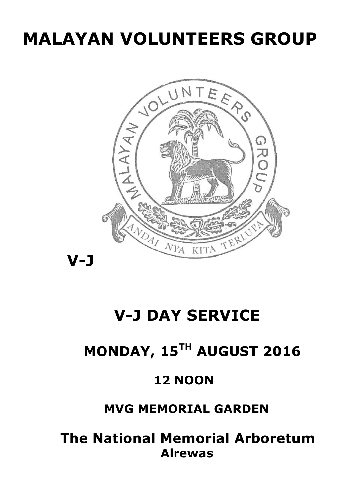# **MALAYAN VOLUNTEERS GROUP**



## **V-J DAY SERVICE**

## **MONDAY, 15TH AUGUST 2016**

### **12 NOON**

### **MVG MEMORIAL GARDEN**

 **The National Memorial Arboretum Alrewas**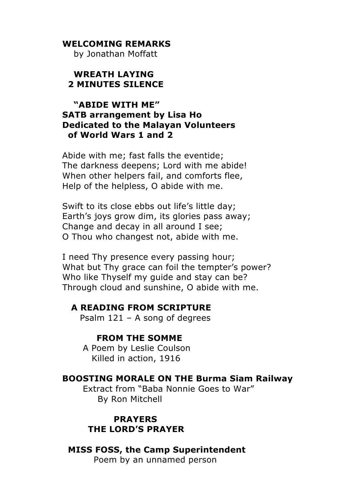#### **WELCOMING REMARKS**

by Jonathan Moffatt

#### **WREATH LAYING 2 MINUTES SILENCE**

#### **"ABIDE WITH ME" SATB arrangement by Lisa Ho Dedicated to the Malayan Volunteers of World Wars 1 and 2**

Abide with me; fast falls the eventide; The darkness deepens; Lord with me abide! When other helpers fail, and comforts flee, Help of the helpless, O abide with me.

Swift to its close ebbs out life's little day; Earth's joys grow dim, its glories pass away; Change and decay in all around I see; O Thou who changest not, abide with me.

I need Thy presence every passing hour; What but Thy grace can foil the tempter's power? Who like Thyself my guide and stay can be? Through cloud and sunshine, O abide with me.

#### **A READING FROM SCRIPTURE**

Psalm 121 – A song of degrees

#### **FROM THE SOMME**

 A Poem by Leslie Coulson Killed in action, 1916

#### **BOOSTING MORALE ON THE Burma Siam Railway**

 Extract from "Baba Nonnie Goes to War" By Ron Mitchell

 **PRAYERS THE LORD'S PRAYER**

#### **MISS FOSS, the Camp Superintendent** Poem by an unnamed person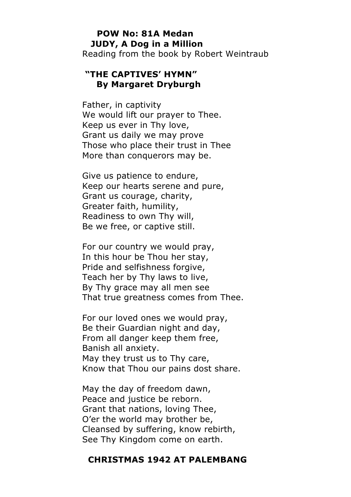#### **POW No: 81A Medan JUDY, A Dog in a Million** Reading from the book by Robert Weintraub

#### **"THE CAPTIVES' HYMN" By Margaret Dryburgh**

Father, in captivity We would lift our prayer to Thee. Keep us ever in Thy love, Grant us daily we may prove Those who place their trust in Thee More than conquerors may be.

Give us patience to endure, Keep our hearts serene and pure, Grant us courage, charity, Greater faith, humility, Readiness to own Thy will, Be we free, or captive still.

For our country we would pray, In this hour be Thou her stay, Pride and selfishness forgive, Teach her by Thy laws to live, By Thy grace may all men see That true greatness comes from Thee.

For our loved ones we would pray, Be their Guardian night and day, From all danger keep them free, Banish all anxiety. May they trust us to Thy care, Know that Thou our pains dost share.

May the day of freedom dawn, Peace and justice be reborn. Grant that nations, loving Thee, O'er the world may brother be, Cleansed by suffering, know rebirth, See Thy Kingdom come on earth.

#### **CHRISTMAS 1942 AT PALEMBANG**